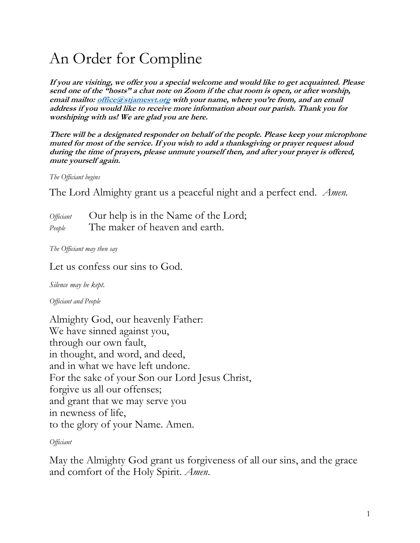# An Order for Compline

**If you are visiting, we offer you a special welcome and would like to get acquainted. Please send one of the "hosts" a chat note on Zoom if the chat room is open, or after worship, email mailto: [office@stjamesvt.org](mailto:office@stjamesvt.org) with your name, where you're from, and an email address if you would like to receive more information about our parish. Thank you for worshiping with us! We are glad you are here.** 

**There will be a designated responder on behalf of the people. Please keep your microphone muted for most of the service. If you wish to add a thanksgiving or prayer request aloud during the time of prayers, please unmute yourself then, and after your prayer is offered, mute yourself again.**

*The Officiant begins*

The Lord Almighty grant us a peaceful night and a perfect end. *Amen.*

| <i>Officiant</i> | Our help is in the Name of the Lord; |
|------------------|--------------------------------------|
| People           | The maker of heaven and earth.       |

*The Officiant may then say*

Let us confess our sins to God.

*Silence may be kept.*

*Officiant and People*

Almighty God, our heavenly Father: We have sinned against you, through our own fault, in thought, and word, and deed, and in what we have left undone. For the sake of your Son our Lord Jesus Christ, forgive us all our offenses; and grant that we may serve you in newness of life, to the glory of your Name. Amen.

*Officiant*

May the Almighty God grant us forgiveness of all our sins, and the grace and comfort of the Holy Spirit. *Amen*.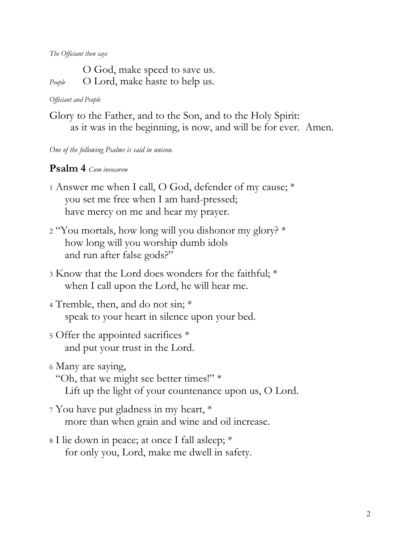*The Officiant then says*

O God, make speed to save us. *People* O Lord, make haste to help us.

#### *Officiant and People*

Glory to the Father, and to the Son, and to the Holy Spirit: as it was in the beginning, is now, and will be for ever. Amen.

*One of the following Psalms is said in unison.*

### **Psalm 4** *Cum invocarem*

- <sup>1</sup> Answer me when I call, O God, defender of my cause; \* you set me free when I am hard-pressed; have mercy on me and hear my prayer.
- <sup>2</sup> "You mortals, how long will you dishonor my glory? \* how long will you worship dumb idols and run after false gods?"
- <sup>3</sup> Know that the Lord does wonders for the faithful; \* when I call upon the Lord, he will hear me.
- <sup>4</sup> Tremble, then, and do not sin; \* speak to your heart in silence upon your bed.

# <sup>5</sup> Offer the appointed sacrifices \* and put your trust in the Lord.

- <sup>6</sup> Many are saying,
	- "Oh, that we might see better times!" \*

Lift up the light of your countenance upon us, O Lord.

- <sup>7</sup> You have put gladness in my heart, \* more than when grain and wine and oil increase.
- <sup>8</sup> I lie down in peace; at once I fall asleep; \* for only you, Lord, make me dwell in safety.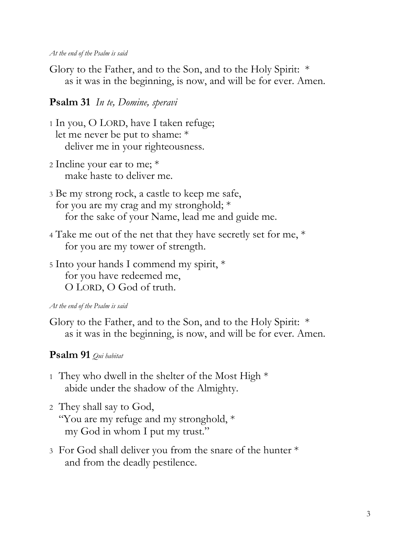#### *At the end of the Psalm is said*

Glory to the Father, and to the Son, and to the Holy Spirit: \* as it was in the beginning, is now, and will be for ever. Amen.

# **Psalm 31** *In te, Domine, speravi*

- <sup>1</sup> In you, O LORD, have I taken refuge; let me never be put to shame: \* deliver me in your righteousness.
- <sup>2</sup> Incline your ear to me; \* make haste to deliver me.
- <sup>3</sup> Be my strong rock, a castle to keep me safe, for you are my crag and my stronghold; \* for the sake of your Name, lead me and guide me.
- <sup>4</sup> Take me out of the net that they have secretly set for me, \* for you are my tower of strength.
- <sup>5</sup> Into your hands I commend my spirit, \* for you have redeemed me, O LORD, O God of truth.

#### *At the end of the Psalm is said*

Glory to the Father, and to the Son, and to the Holy Spirit: \* as it was in the beginning, is now, and will be for ever. Amen.

## **Psalm 91** *Qui habitat*

- 1 They who dwell in the shelter of the Most High  $*$ abide under the shadow of the Almighty.
- <sup>2</sup> They shall say to God, "You are my refuge and my stronghold, \* my God in whom I put my trust."
- <sup>3</sup> For God shall deliver you from the snare of the hunter \* and from the deadly pestilence.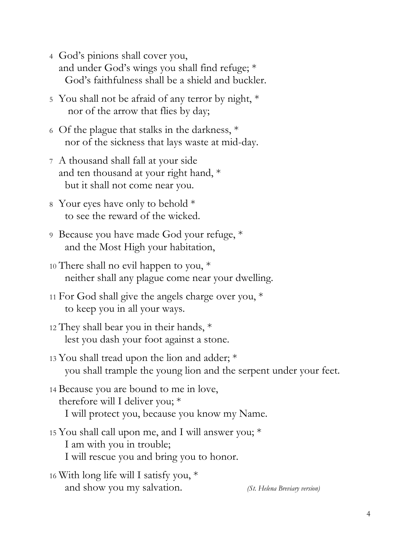- <sup>4</sup> God's pinions shall cover you, and under God's wings you shall find refuge; \* God's faithfulness shall be a shield and buckler.
- <sup>5</sup> You shall not be afraid of any terror by night, \* nor of the arrow that flies by day;
- <sup>6</sup> Of the plague that stalks in the darkness, \* nor of the sickness that lays waste at mid-day.
- <sup>7</sup> A thousand shall fall at your side and ten thousand at your right hand, \* but it shall not come near you.
- <sup>8</sup> Your eyes have only to behold \* to see the reward of the wicked.
- <sup>9</sup> Because you have made God your refuge, \* and the Most High your habitation,
- <sup>10</sup> There shall no evil happen to you, \* neither shall any plague come near your dwelling.
- <sup>11</sup> For God shall give the angels charge over you, \* to keep you in all your ways.
- <sup>12</sup> They shall bear you in their hands, \* lest you dash your foot against a stone.
- <sup>13</sup> You shall tread upon the lion and adder; \* you shall trample the young lion and the serpent under your feet.
- <sup>14</sup> Because you are bound to me in love, therefore will I deliver you; \* I will protect you, because you know my Name.
- <sup>15</sup> You shall call upon me, and I will answer you; \* I am with you in trouble; I will rescue you and bring you to honor.
- <sup>16</sup> With long life will I satisfy you, \* and show you my salvation. *(St. Helena Breviary version)*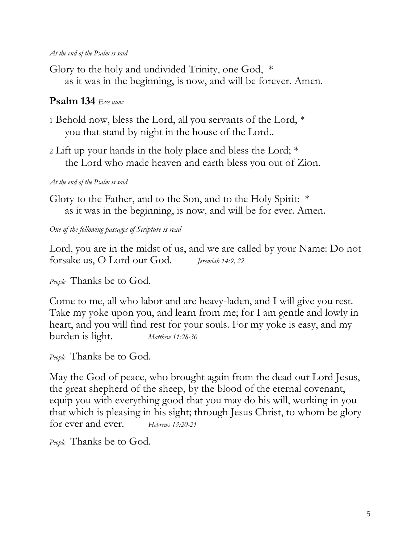#### *At the end of the Psalm is said*

Glory to the holy and undivided Trinity, one God, \* as it was in the beginning, is now, and will be forever. Amen.

# **Psalm 134** *Ecce nunc*

- <sup>1</sup> Behold now, bless the Lord, all you servants of the Lord, \* you that stand by night in the house of the Lord..
- <sup>2</sup> Lift up your hands in the holy place and bless the Lord; \* the Lord who made heaven and earth bless you out of Zion.

## *At the end of the Psalm is said*

Glory to the Father, and to the Son, and to the Holy Spirit: \* as it was in the beginning, is now, and will be for ever. Amen.

*One of the following passages of Scripture is read*

Lord, you are in the midst of us, and we are called by your Name: Do not forsake us, O Lord our God. *Jeremiah 14:9, 22*

*People* Thanks be to God.

Come to me, all who labor and are heavy-laden, and I will give you rest. Take my yoke upon you, and learn from me; for I am gentle and lowly in heart, and you will find rest for your souls. For my yoke is easy, and my burden is light. *Matthew 11:28-30*

*People* Thanks be to God.

May the God of peace, who brought again from the dead our Lord Jesus, the great shepherd of the sheep, by the blood of the eternal covenant, equip you with everything good that you may do his will, working in you that which is pleasing in his sight; through Jesus Christ, to whom be glory for ever and ever. *Hebrews 13:20-21*

*People* Thanks be to God.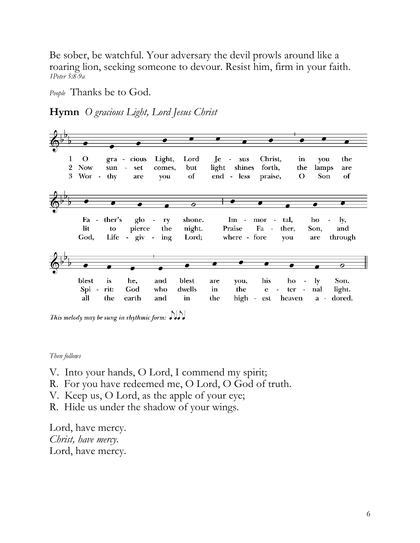Be sober, be watchful. Your adversary the devil prowls around like a roaring lion, seeking someone to devour. Resist him, firm in your faith. *1Peter 5:8-9a*

*People* Thanks be to God.

**Hymn** *O gracious Light, Lord Jesus Christ*



This melody may be sung in rhythmic form:  $\mathcal{D}\mathcal{D}$ 

*Then follows*

V. Into your hands, O Lord, I commend my spirit;

R. For you have redeemed me, O Lord, O God of truth.

V. Keep us, O Lord, as the apple of your eye;

R. Hide us under the shadow of your wings.

Lord, have mercy. *Christ, have mercy*. Lord, have mercy.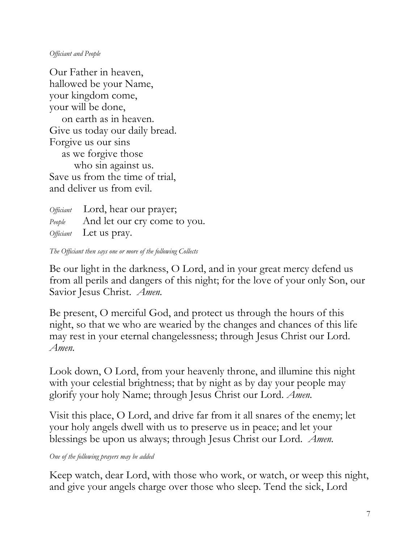#### *Officiant and People*

Our Father in heaven, hallowed be your Name, your kingdom come, your will be done, on earth as in heaven. Give us today our daily bread. Forgive us our sins as we forgive those who sin against us. Save us from the time of trial, and deliver us from evil.

*Officiant* Lord, hear our prayer; *People* And let our cry come to you. *Officiant* Let us pray.

*The Officiant then says one or more of the following Collects*

Be our light in the darkness, O Lord, and in your great mercy defend us from all perils and dangers of this night; for the love of your only Son, our Savior Jesus Christ. *Amen.*

Be present, O merciful God, and protect us through the hours of this night, so that we who are wearied by the changes and chances of this life may rest in your eternal changelessness; through Jesus Christ our Lord. *Amen.*

Look down, O Lord, from your heavenly throne, and illumine this night with your celestial brightness; that by night as by day your people may glorify your holy Name; through Jesus Christ our Lord. *Amen.*

Visit this place, O Lord, and drive far from it all snares of the enemy; let your holy angels dwell with us to preserve us in peace; and let your blessings be upon us always; through Jesus Christ our Lord. *Amen.*

*One of the following prayers may be added*

Keep watch, dear Lord, with those who work, or watch, or weep this night, and give your angels charge over those who sleep. Tend the sick, Lord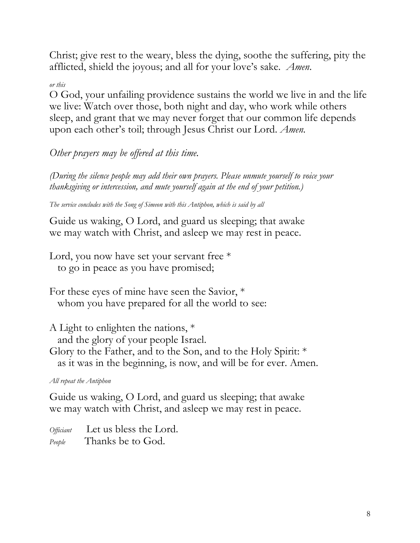Christ; give rest to the weary, bless the dying, soothe the suffering, pity the afflicted, shield the joyous; and all for your love's sake. *Amen*.

## *or this*

O God, your unfailing providence sustains the world we live in and the life we live: Watch over those, both night and day, who work while others sleep, and grant that we may never forget that our common life depends upon each other's toil; through Jesus Christ our Lord. *Amen.*

*Other prayers may be offered at this time.*

*(During the silence people may add their own prayers. Please unmute yourself to voice your thanksgiving or intercession, and mute yourself again at the end of your petition.)* 

*The service concludes with the Song of Simeon with this Antiphon, which is said by all*

Guide us waking, O Lord, and guard us sleeping; that awake we may watch with Christ, and asleep we may rest in peace.

Lord, you now have set your servant free  $*$ to go in peace as you have promised;

For these eyes of mine have seen the Savior, \* whom you have prepared for all the world to see:

A Light to enlighten the nations, \*

and the glory of your people Israel.

Glory to the Father, and to the Son, and to the Holy Spirit: \* as it was in the beginning, is now, and will be for ever. Amen.

*All repeat the Antiphon*

Guide us waking, O Lord, and guard us sleeping; that awake we may watch with Christ, and asleep we may rest in peace.

*Officiant* Let us bless the Lord. *People* Thanks be to God.